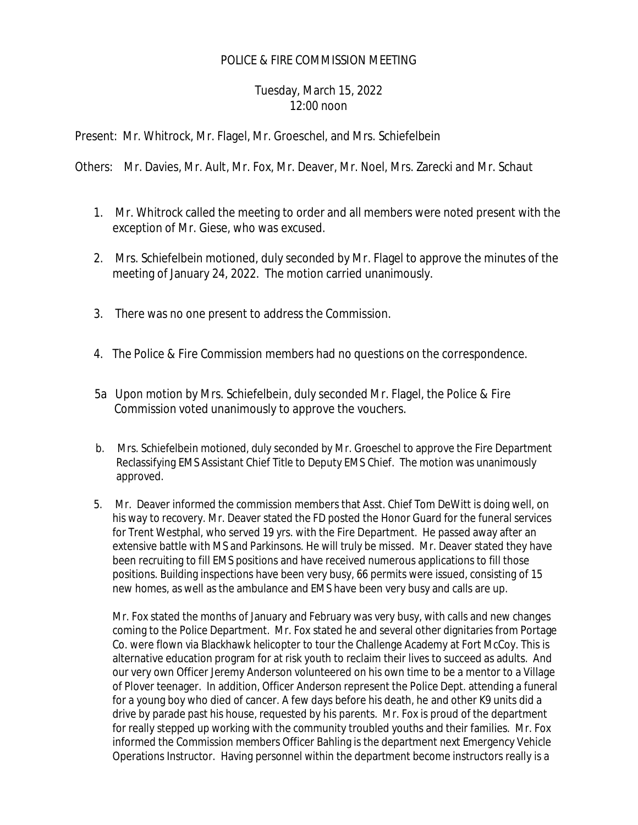## POLICE & FIRE COMMISSION MEETING

## Tuesday, March 15, 2022 12:00 noon

Present: Mr. Whitrock, Mr. Flagel, Mr. Groeschel, and Mrs. Schiefelbein

Others: Mr. Davies, Mr. Ault, Mr. Fox, Mr. Deaver, Mr. Noel, Mrs. Zarecki and Mr. Schaut

- 1. Mr. Whitrock called the meeting to order and all members were noted present with the exception of Mr. Giese, who was excused.
- 2. Mrs. Schiefelbein motioned, duly seconded by Mr. Flagel to approve the minutes of the meeting of January 24, 2022. The motion carried unanimously.
- 3. There was no one present to address the Commission.
- 4. The Police & Fire Commission members had no questions on the correspondence.
- 5a Upon motion by Mrs. Schiefelbein, duly seconded Mr. Flagel, the Police & Fire Commission voted unanimously to approve the vouchers.
- b. Mrs. Schiefelbein motioned, duly seconded by Mr. Groeschel to approve the Fire Department Reclassifying EMS Assistant Chief Title to Deputy EMS Chief. The motion was unanimously approved.
- 5. Mr. Deaver informed the commission members that Asst. Chief Tom DeWitt is doing well, on his way to recovery. Mr. Deaver stated the FD posted the Honor Guard for the funeral services for Trent Westphal, who served 19 yrs. with the Fire Department. He passed away after an extensive battle with MS and Parkinsons. He will truly be missed. Mr. Deaver stated they have been recruiting to fill EMS positions and have received numerous applications to fill those positions. Building inspections have been very busy, 66 permits were issued, consisting of 15 new homes, as well as the ambulance and EMS have been very busy and calls are up.

Mr. Fox stated the months of January and February was very busy, with calls and new changes coming to the Police Department. Mr. Fox stated he and several other dignitaries from Portage Co. were flown via Blackhawk helicopter to tour the Challenge Academy at Fort McCoy. This is alternative education program for at risk youth to reclaim their lives to succeed as adults. And our very own Officer Jeremy Anderson volunteered on his own time to be a mentor to a Village of Plover teenager. In addition, Officer Anderson represent the Police Dept. attending a funeral for a young boy who died of cancer. A few days before his death, he and other K9 units did a drive by parade past his house, requested by his parents. Mr. Fox is proud of the department for really stepped up working with the community troubled youths and their families. Mr. Fox informed the Commission members Officer Bahling is the department next Emergency Vehicle Operations Instructor. Having personnel within the department become instructors really is a